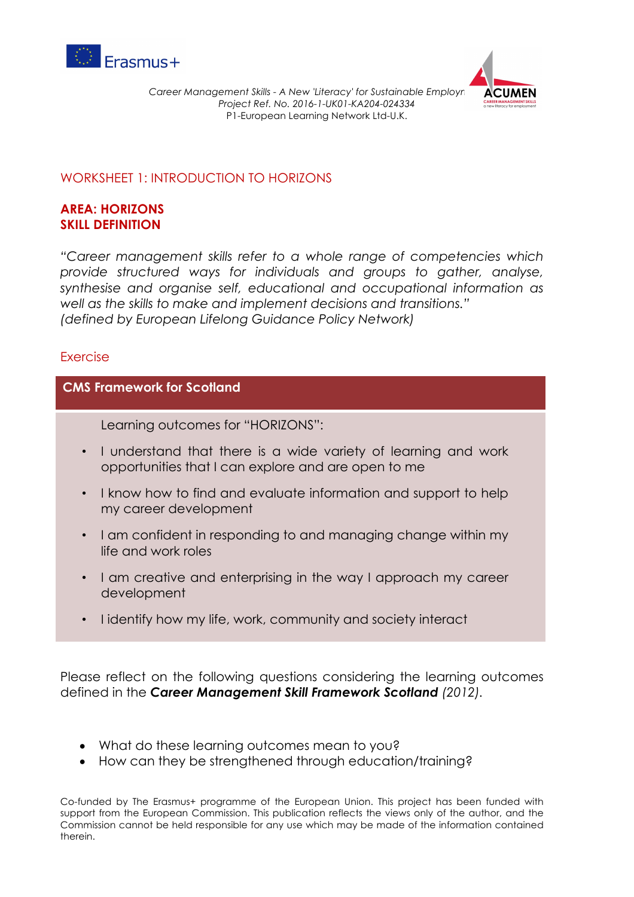



## WORKSHEET 1: INTRODUCTION TO HORIZONS

## **AREA: HORIZONS SKILL DEFINITION**

*"Career management skills refer to a whole range of competencies which provide structured ways for individuals and groups to gather, analyse, synthesise and organise self, educational and occupational information as well as the skills to make and implement decisions and transitions." (defined by European Lifelong Guidance Policy Network)*

## Exercise

## **CMS Framework for Scotland**

Learning outcomes for "HORIZONS":

- I understand that there is a wide variety of learning and work opportunities that I can explore and are open to me
- I know how to find and evaluate information and support to help my career development
- I am confident in responding to and managing change within my life and work roles
- I am creative and enterprising in the way I approach my career development
- I identify how my life, work, community and society interact

Please reflect on the following questions considering the learning outcomes defined in the *Career Management Skill Framework Scotland (2012).* 

- What do these learning outcomes mean to you?
- How can they be strengthened through education/training?

Co-funded by The Erasmus+ programme of the European Union. This project has been funded with support from the European Commission. This publication reflects the views only of the author, and the Commission cannot be held responsible for any use which may be made of the information contained therein.